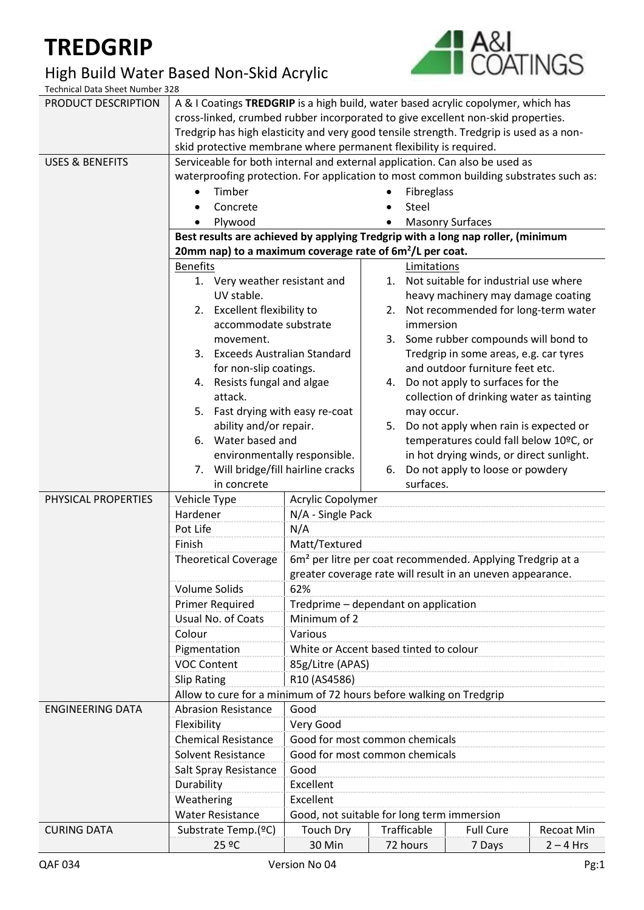## **TREDGRIP**

## High Build Water Based Non-Skid Acrylic



Technical Data Sheet Number 328

| PRODUCT DESCRIPTION        | A & I Coatings TREDGRIP is a high build, water based acrylic copolymer, which has                                                                       |                                                                        |            |                                                                              |                                          |                   |  |
|----------------------------|---------------------------------------------------------------------------------------------------------------------------------------------------------|------------------------------------------------------------------------|------------|------------------------------------------------------------------------------|------------------------------------------|-------------------|--|
|                            | cross-linked, crumbed rubber incorporated to give excellent non-skid properties.                                                                        |                                                                        |            |                                                                              |                                          |                   |  |
|                            | Tredgrip has high elasticity and very good tensile strength. Tredgrip is used as a non-                                                                 |                                                                        |            |                                                                              |                                          |                   |  |
|                            | skid protective membrane where permanent flexibility is required.                                                                                       |                                                                        |            |                                                                              |                                          |                   |  |
| <b>USES &amp; BENEFITS</b> | Serviceable for both internal and external application. Can also be used as                                                                             |                                                                        |            |                                                                              |                                          |                   |  |
|                            | waterproofing protection. For application to most common building substrates such as:                                                                   |                                                                        |            |                                                                              |                                          |                   |  |
|                            | Timber                                                                                                                                                  |                                                                        | Fibreglass |                                                                              |                                          |                   |  |
|                            | Concrete                                                                                                                                                |                                                                        |            |                                                                              |                                          |                   |  |
|                            |                                                                                                                                                         |                                                                        |            | Steel<br><b>Masonry Surfaces</b>                                             |                                          |                   |  |
|                            | Plywood                                                                                                                                                 |                                                                        |            |                                                                              |                                          |                   |  |
|                            | Best results are achieved by applying Tredgrip with a long nap roller, (minimum<br>20mm nap) to a maximum coverage rate of 6m <sup>2</sup> /L per coat. |                                                                        |            |                                                                              |                                          |                   |  |
|                            | <b>Benefits</b>                                                                                                                                         |                                                                        |            | Limitations                                                                  |                                          |                   |  |
|                            | 1. Very weather resistant and                                                                                                                           |                                                                        |            |                                                                              | 1. Not suitable for industrial use where |                   |  |
|                            | UV stable.                                                                                                                                              |                                                                        |            |                                                                              |                                          |                   |  |
|                            | 2. Excellent flexibility to                                                                                                                             |                                                                        |            | heavy machinery may damage coating<br>2. Not recommended for long-term water |                                          |                   |  |
|                            | accommodate substrate                                                                                                                                   |                                                                        |            | immersion                                                                    |                                          |                   |  |
|                            | movement.                                                                                                                                               |                                                                        |            |                                                                              | 3. Some rubber compounds will bond to    |                   |  |
|                            | 3. Exceeds Australian Standard                                                                                                                          |                                                                        |            |                                                                              | Tredgrip in some areas, e.g. car tyres   |                   |  |
|                            | for non-slip coatings.                                                                                                                                  |                                                                        |            |                                                                              | and outdoor furniture feet etc.          |                   |  |
|                            | 4. Resists fungal and algae                                                                                                                             |                                                                        | 4.         |                                                                              | Do not apply to surfaces for the         |                   |  |
|                            | attack.                                                                                                                                                 |                                                                        |            |                                                                              | collection of drinking water as tainting |                   |  |
|                            | 5. Fast drying with easy re-coat                                                                                                                        |                                                                        |            | may occur.                                                                   |                                          |                   |  |
|                            | ability and/or repair.                                                                                                                                  |                                                                        | 5.         |                                                                              | Do not apply when rain is expected or    |                   |  |
|                            | 6. Water based and                                                                                                                                      |                                                                        |            |                                                                              | temperatures could fall below 10°C, or   |                   |  |
|                            |                                                                                                                                                         | environmentally responsible.                                           |            |                                                                              | in hot drying winds, or direct sunlight. |                   |  |
|                            | 7. Will bridge/fill hairline cracks                                                                                                                     |                                                                        | 6.         |                                                                              | Do not apply to loose or powdery         |                   |  |
|                            | in concrete                                                                                                                                             |                                                                        |            | surfaces.                                                                    |                                          |                   |  |
| PHYSICAL PROPERTIES        | Vehicle Type                                                                                                                                            | Acrylic Copolymer                                                      |            |                                                                              |                                          |                   |  |
|                            | Hardener                                                                                                                                                | N/A - Single Pack                                                      |            |                                                                              |                                          |                   |  |
|                            | Pot Life                                                                                                                                                | N/A                                                                    |            |                                                                              |                                          |                   |  |
|                            | Finish                                                                                                                                                  | Matt/Textured                                                          |            |                                                                              |                                          |                   |  |
|                            | <b>Theoretical Coverage</b>                                                                                                                             | 6m <sup>2</sup> per litre per coat recommended. Applying Tredgrip at a |            |                                                                              |                                          |                   |  |
|                            |                                                                                                                                                         | greater coverage rate will result in an uneven appearance.             |            |                                                                              |                                          |                   |  |
|                            | Volume Solids                                                                                                                                           | 62%                                                                    |            |                                                                              |                                          |                   |  |
|                            | <b>Primer Required</b>                                                                                                                                  | Tredprime - dependant on application                                   |            |                                                                              |                                          |                   |  |
|                            | Usual No. of Coats                                                                                                                                      | Minimum of 2                                                           |            |                                                                              |                                          |                   |  |
|                            | Colour                                                                                                                                                  | Various                                                                |            |                                                                              |                                          |                   |  |
|                            | Pigmentation                                                                                                                                            | White or Accent based tinted to colour                                 |            |                                                                              |                                          |                   |  |
|                            | <b>VOC Content</b>                                                                                                                                      | 85g/Litre (APAS)                                                       |            |                                                                              |                                          |                   |  |
|                            | <b>Slip Rating</b><br>R10 (AS4586)                                                                                                                      |                                                                        |            |                                                                              |                                          |                   |  |
|                            |                                                                                                                                                         | Allow to cure for a minimum of 72 hours before walking on Tredgrip     |            |                                                                              |                                          |                   |  |
| <b>ENGINEERING DATA</b>    | <b>Abrasion Resistance</b><br>Good                                                                                                                      |                                                                        |            |                                                                              |                                          |                   |  |
|                            | Flexibility                                                                                                                                             | Very Good                                                              |            |                                                                              |                                          |                   |  |
|                            | <b>Chemical Resistance</b>                                                                                                                              | Good for most common chemicals                                         |            |                                                                              |                                          |                   |  |
|                            | <b>Solvent Resistance</b><br>Good for most common chemicals                                                                                             |                                                                        |            |                                                                              |                                          |                   |  |
|                            | Good<br>Salt Spray Resistance                                                                                                                           |                                                                        |            |                                                                              |                                          |                   |  |
|                            | Excellent<br>Durability                                                                                                                                 |                                                                        |            |                                                                              |                                          |                   |  |
|                            | Weathering<br>Excellent                                                                                                                                 |                                                                        |            |                                                                              |                                          |                   |  |
|                            | <b>Water Resistance</b>                                                                                                                                 | Good, not suitable for long term immersion                             |            |                                                                              |                                          |                   |  |
| <b>CURING DATA</b>         | Substrate Temp.(ºC)                                                                                                                                     | <b>Touch Dry</b>                                                       |            | Trafficable                                                                  | <b>Full Cure</b>                         | <b>Recoat Min</b> |  |
|                            | 25 ºC                                                                                                                                                   | 30 Min                                                                 |            | 72 hours                                                                     | 7 Days                                   | $2 - 4$ Hrs       |  |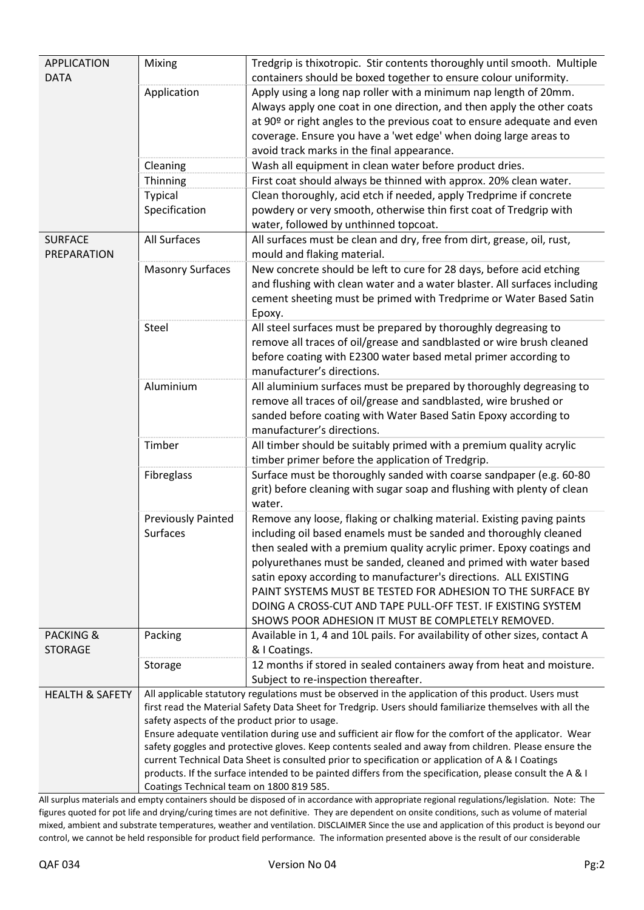| <b>APPLICATION</b>         | Mixing                                                                                                                                                                                                                                                                                                                | Tredgrip is thixotropic. Stir contents thoroughly until smooth. Multiple                                                            |  |  |  |  |
|----------------------------|-----------------------------------------------------------------------------------------------------------------------------------------------------------------------------------------------------------------------------------------------------------------------------------------------------------------------|-------------------------------------------------------------------------------------------------------------------------------------|--|--|--|--|
| <b>DATA</b>                |                                                                                                                                                                                                                                                                                                                       | containers should be boxed together to ensure colour uniformity.                                                                    |  |  |  |  |
|                            | Application                                                                                                                                                                                                                                                                                                           | Apply using a long nap roller with a minimum nap length of 20mm.                                                                    |  |  |  |  |
|                            |                                                                                                                                                                                                                                                                                                                       | Always apply one coat in one direction, and then apply the other coats                                                              |  |  |  |  |
|                            |                                                                                                                                                                                                                                                                                                                       | at 90º or right angles to the previous coat to ensure adequate and even                                                             |  |  |  |  |
|                            |                                                                                                                                                                                                                                                                                                                       | coverage. Ensure you have a 'wet edge' when doing large areas to                                                                    |  |  |  |  |
|                            |                                                                                                                                                                                                                                                                                                                       | avoid track marks in the final appearance.                                                                                          |  |  |  |  |
|                            | Cleaning                                                                                                                                                                                                                                                                                                              | Wash all equipment in clean water before product dries.                                                                             |  |  |  |  |
|                            | Thinning                                                                                                                                                                                                                                                                                                              | First coat should always be thinned with approx. 20% clean water.                                                                   |  |  |  |  |
|                            | <b>Typical</b>                                                                                                                                                                                                                                                                                                        | Clean thoroughly, acid etch if needed, apply Tredprime if concrete                                                                  |  |  |  |  |
|                            | Specification                                                                                                                                                                                                                                                                                                         | powdery or very smooth, otherwise thin first coat of Tredgrip with                                                                  |  |  |  |  |
|                            |                                                                                                                                                                                                                                                                                                                       | water, followed by unthinned topcoat.                                                                                               |  |  |  |  |
| <b>SURFACE</b>             | All Surfaces                                                                                                                                                                                                                                                                                                          | All surfaces must be clean and dry, free from dirt, grease, oil, rust,                                                              |  |  |  |  |
| PREPARATION                |                                                                                                                                                                                                                                                                                                                       | mould and flaking material.                                                                                                         |  |  |  |  |
|                            | <b>Masonry Surfaces</b>                                                                                                                                                                                                                                                                                               | New concrete should be left to cure for 28 days, before acid etching                                                                |  |  |  |  |
|                            |                                                                                                                                                                                                                                                                                                                       | and flushing with clean water and a water blaster. All surfaces including                                                           |  |  |  |  |
|                            |                                                                                                                                                                                                                                                                                                                       | cement sheeting must be primed with Tredprime or Water Based Satin                                                                  |  |  |  |  |
|                            |                                                                                                                                                                                                                                                                                                                       | Epoxy.                                                                                                                              |  |  |  |  |
|                            | Steel                                                                                                                                                                                                                                                                                                                 | All steel surfaces must be prepared by thoroughly degreasing to                                                                     |  |  |  |  |
|                            |                                                                                                                                                                                                                                                                                                                       | remove all traces of oil/grease and sandblasted or wire brush cleaned                                                               |  |  |  |  |
|                            |                                                                                                                                                                                                                                                                                                                       | before coating with E2300 water based metal primer according to                                                                     |  |  |  |  |
|                            |                                                                                                                                                                                                                                                                                                                       | manufacturer's directions.                                                                                                          |  |  |  |  |
|                            | Aluminium                                                                                                                                                                                                                                                                                                             | All aluminium surfaces must be prepared by thoroughly degreasing to                                                                 |  |  |  |  |
|                            |                                                                                                                                                                                                                                                                                                                       | remove all traces of oil/grease and sandblasted, wire brushed or<br>sanded before coating with Water Based Satin Epoxy according to |  |  |  |  |
|                            |                                                                                                                                                                                                                                                                                                                       | manufacturer's directions.                                                                                                          |  |  |  |  |
|                            | Timber                                                                                                                                                                                                                                                                                                                | All timber should be suitably primed with a premium quality acrylic                                                                 |  |  |  |  |
|                            |                                                                                                                                                                                                                                                                                                                       | timber primer before the application of Tredgrip.                                                                                   |  |  |  |  |
|                            | Fibreglass                                                                                                                                                                                                                                                                                                            | Surface must be thoroughly sanded with coarse sandpaper (e.g. 60-80                                                                 |  |  |  |  |
|                            |                                                                                                                                                                                                                                                                                                                       | grit) before cleaning with sugar soap and flushing with plenty of clean                                                             |  |  |  |  |
|                            |                                                                                                                                                                                                                                                                                                                       | water.                                                                                                                              |  |  |  |  |
|                            | <b>Previously Painted</b>                                                                                                                                                                                                                                                                                             | Remove any loose, flaking or chalking material. Existing paving paints                                                              |  |  |  |  |
|                            | Surfaces                                                                                                                                                                                                                                                                                                              | including oil based enamels must be sanded and thoroughly cleaned                                                                   |  |  |  |  |
|                            |                                                                                                                                                                                                                                                                                                                       | then sealed with a premium quality acrylic primer. Epoxy coatings and                                                               |  |  |  |  |
|                            |                                                                                                                                                                                                                                                                                                                       | polyurethanes must be sanded, cleaned and primed with water based                                                                   |  |  |  |  |
|                            |                                                                                                                                                                                                                                                                                                                       | satin epoxy according to manufacturer's directions. ALL EXISTING                                                                    |  |  |  |  |
|                            |                                                                                                                                                                                                                                                                                                                       | PAINT SYSTEMS MUST BE TESTED FOR ADHESION TO THE SURFACE BY                                                                         |  |  |  |  |
|                            |                                                                                                                                                                                                                                                                                                                       | DOING A CROSS-CUT AND TAPE PULL-OFF TEST. IF EXISTING SYSTEM                                                                        |  |  |  |  |
|                            |                                                                                                                                                                                                                                                                                                                       | SHOWS POOR ADHESION IT MUST BE COMPLETELY REMOVED.                                                                                  |  |  |  |  |
| <b>PACKING &amp;</b>       | Packing                                                                                                                                                                                                                                                                                                               | Available in 1, 4 and 10L pails. For availability of other sizes, contact A                                                         |  |  |  |  |
| <b>STORAGE</b>             |                                                                                                                                                                                                                                                                                                                       | & I Coatings.                                                                                                                       |  |  |  |  |
|                            | Storage                                                                                                                                                                                                                                                                                                               | 12 months if stored in sealed containers away from heat and moisture.<br>Subject to re-inspection thereafter.                       |  |  |  |  |
| <b>HEALTH &amp; SAFETY</b> |                                                                                                                                                                                                                                                                                                                       | All applicable statutory regulations must be observed in the application of this product. Users must                                |  |  |  |  |
|                            | first read the Material Safety Data Sheet for Tredgrip. Users should familiarize themselves with all the                                                                                                                                                                                                              |                                                                                                                                     |  |  |  |  |
|                            | safety aspects of the product prior to usage.                                                                                                                                                                                                                                                                         |                                                                                                                                     |  |  |  |  |
|                            |                                                                                                                                                                                                                                                                                                                       | Ensure adequate ventilation during use and sufficient air flow for the comfort of the applicator. Wear                              |  |  |  |  |
|                            | safety goggles and protective gloves. Keep contents sealed and away from children. Please ensure the<br>current Technical Data Sheet is consulted prior to specification or application of A & I Coatings<br>products. If the surface intended to be painted differs from the specification, please consult the A & I |                                                                                                                                     |  |  |  |  |
|                            |                                                                                                                                                                                                                                                                                                                       |                                                                                                                                     |  |  |  |  |
|                            |                                                                                                                                                                                                                                                                                                                       |                                                                                                                                     |  |  |  |  |
|                            | Coatings Technical team on 1800 819 585.                                                                                                                                                                                                                                                                              |                                                                                                                                     |  |  |  |  |

All surplus materials and empty containers should be disposed of in accordance with appropriate regional regulations/legislation. Note: The figures quoted for pot life and drying/curing times are not definitive. They are dependent on onsite conditions, such as volume of material mixed, ambient and substrate temperatures, weather and ventilation. DISCLAIMER Since the use and application of this product is beyond our control, we cannot be held responsible for product field performance. The information presented above is the result of our considerable